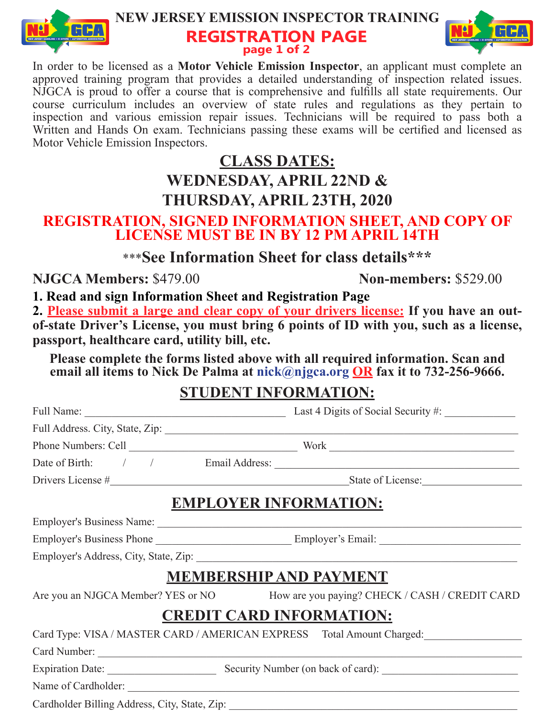

#### **NEW JERSEY EMISSION INSPECTOR TRAINING REGISTRATION PAGE page 1 of 2**



In order to be licensed as a **Motor Vehicle Emission Inspector**, an applicant must complete an approved training program that provides a detailed understanding of inspection related issues. NJGCA is proud to offer a course that is comprehensive and fulfills all state requirements. Our course curriculum includes an overview of state rules and regulations as they pertain to inspection and various emission repair issues. Technicians will be required to pass both a Written and Hands On exam. Technicians passing these exams will be certified and licensed as Motor Vehicle Emission Inspectors.

## **CLASS DATES: WEDNESDAY, APRIL 22ND & THURSDAY, APRIL 23TH, 2020**

#### **REGISTRATION, SIGNED INFORMATION SHEET, AND COPY OF LICENSE MUST BE IN BY 12 PM APRIL 14TH**

\*\*\***See Information Sheet for class details\*\*\***

**NJGCA Members:** \$479.00 **Non-members:** \$529.00

**1. Read and sign Information Sheet and Registration Page**

**2. Please submit a large and clear copy of your drivers license: If you have an outof-state Driver's License, you must bring 6 points of ID with you, such as a license, passport, healthcare card, utility bill, etc.**

**Please complete the forms listed above with all required information. Scan and email all items to Nick De Palma at nick@njgca.org OR fax it to 732-256-9666.** 

## **STUDENT INFORMATION:**

| <b>EMPLOYER INFORMATION:</b>                                                      |  |
|-----------------------------------------------------------------------------------|--|
|                                                                                   |  |
|                                                                                   |  |
|                                                                                   |  |
| <b>MEMBERSHIP AND PAYMENT</b>                                                     |  |
| Are you an NJGCA Member? YES or NO How are you paying? CHECK / CASH / CREDIT CARD |  |
| <b>CREDIT CARD INFORMATION:</b>                                                   |  |
| Card Type: VISA / MASTER CARD / AMERICAN EXPRESS Total Amount Charged:            |  |
|                                                                                   |  |
| Expiration Date: Security Number (on back of card): _____________________________ |  |
|                                                                                   |  |

Cardholder Billing Address, City, State, Zip: